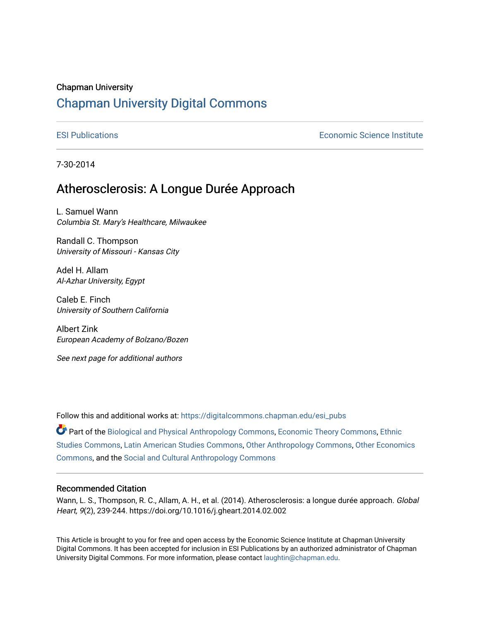## Chapman University

# [Chapman University Digital Commons](https://digitalcommons.chapman.edu/)

[ESI Publications](https://digitalcommons.chapman.edu/esi_pubs) [Economic Science Institute](https://digitalcommons.chapman.edu/esi) 

7-30-2014

# Atherosclerosis: A Longue Durée Approach

L. Samuel Wann Columbia St. Mary's Healthcare, Milwaukee

Randall C. Thompson University of Missouri - Kansas City

Adel H. Allam Al-Azhar University, Egypt

Caleb E. Finch University of Southern California

Albert Zink European Academy of Bolzano/Bozen

See next page for additional authors

Follow this and additional works at: [https://digitalcommons.chapman.edu/esi\\_pubs](https://digitalcommons.chapman.edu/esi_pubs?utm_source=digitalcommons.chapman.edu%2Fesi_pubs%2F192&utm_medium=PDF&utm_campaign=PDFCoverPages) 

Part of the [Biological and Physical Anthropology Commons](http://network.bepress.com/hgg/discipline/320?utm_source=digitalcommons.chapman.edu%2Fesi_pubs%2F192&utm_medium=PDF&utm_campaign=PDFCoverPages), [Economic Theory Commons,](http://network.bepress.com/hgg/discipline/344?utm_source=digitalcommons.chapman.edu%2Fesi_pubs%2F192&utm_medium=PDF&utm_campaign=PDFCoverPages) [Ethnic](http://network.bepress.com/hgg/discipline/570?utm_source=digitalcommons.chapman.edu%2Fesi_pubs%2F192&utm_medium=PDF&utm_campaign=PDFCoverPages)  [Studies Commons,](http://network.bepress.com/hgg/discipline/570?utm_source=digitalcommons.chapman.edu%2Fesi_pubs%2F192&utm_medium=PDF&utm_campaign=PDFCoverPages) [Latin American Studies Commons,](http://network.bepress.com/hgg/discipline/363?utm_source=digitalcommons.chapman.edu%2Fesi_pubs%2F192&utm_medium=PDF&utm_campaign=PDFCoverPages) [Other Anthropology Commons](http://network.bepress.com/hgg/discipline/324?utm_source=digitalcommons.chapman.edu%2Fesi_pubs%2F192&utm_medium=PDF&utm_campaign=PDFCoverPages), [Other Economics](http://network.bepress.com/hgg/discipline/353?utm_source=digitalcommons.chapman.edu%2Fesi_pubs%2F192&utm_medium=PDF&utm_campaign=PDFCoverPages)  [Commons](http://network.bepress.com/hgg/discipline/353?utm_source=digitalcommons.chapman.edu%2Fesi_pubs%2F192&utm_medium=PDF&utm_campaign=PDFCoverPages), and the [Social and Cultural Anthropology Commons](http://network.bepress.com/hgg/discipline/323?utm_source=digitalcommons.chapman.edu%2Fesi_pubs%2F192&utm_medium=PDF&utm_campaign=PDFCoverPages) 

### Recommended Citation

Wann, L. S., Thompson, R. C., Allam, A. H., et al. (2014). Atherosclerosis: a longue durée approach. Global Heart, 9(2), 239-244. https://doi.org/10.1016/j.gheart.2014.02.002

This Article is brought to you for free and open access by the Economic Science Institute at Chapman University Digital Commons. It has been accepted for inclusion in ESI Publications by an authorized administrator of Chapman University Digital Commons. For more information, please contact [laughtin@chapman.edu.](mailto:laughtin@chapman.edu)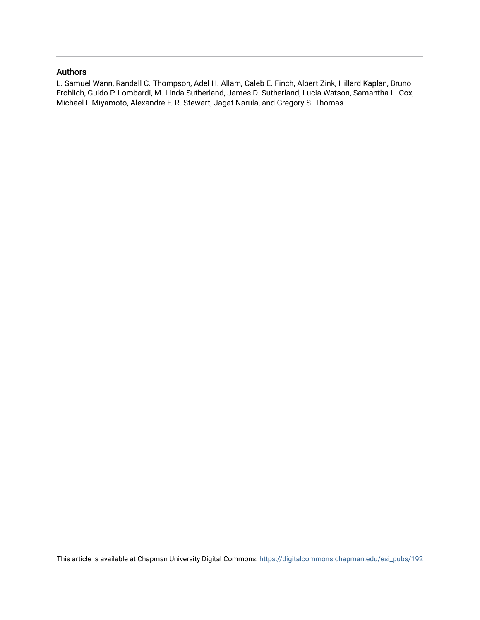### Authors

L. Samuel Wann, Randall C. Thompson, Adel H. Allam, Caleb E. Finch, Albert Zink, Hillard Kaplan, Bruno Frohlich, Guido P. Lombardi, M. Linda Sutherland, James D. Sutherland, Lucia Watson, Samantha L. Cox, Michael I. Miyamoto, Alexandre F. R. Stewart, Jagat Narula, and Gregory S. Thomas

This article is available at Chapman University Digital Commons: [https://digitalcommons.chapman.edu/esi\\_pubs/192](https://digitalcommons.chapman.edu/esi_pubs/192)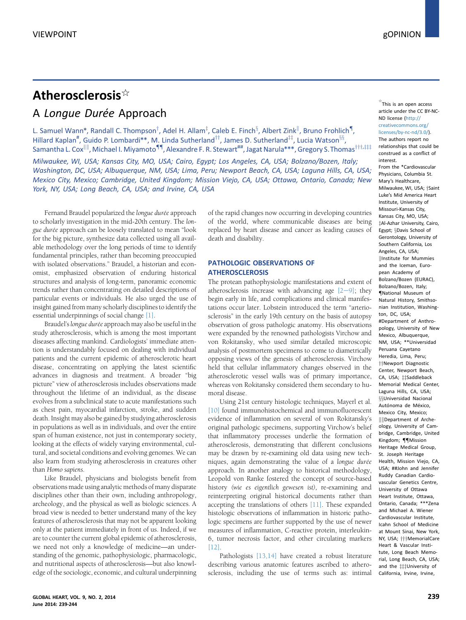# Atherosclerosis $\mathbb{R}$ A Longue Durée Approach

L. Samuel Wann\*, Randall C. Thompson<sup>T</sup>, Adel H. Allam<sup>I</sup>, Caleb E. Finch<sup>§</sup>, Albert Zink<sup>II</sup>, Bruno Frohlich¶, Hillard Kaplan<sup>#</sup>, Guido P. Lombardi\*\*, M. Linda Sutherland<sup>††</sup>, James D. Sutherland<sup>‡‡</sup>, Lucia Watson<sup>§§</sup>, Samantha L. Cox<sup>||||</sup>, Michael I. Miyamoto<sup>¶¶</sup>, Alexandre F. R. Stewart<sup>##</sup>, Jagat Narula\*\*\*, Gregory S. Thomas<sup>†††,‡‡‡</sup>

Milwaukee, WI, USA; Kansas City, MO, USA; Cairo, Egypt; Los Angeles, CA, USA; Bolzano/Bozen, Italy; Washington, DC, USA; Albuquerque, NM, USA; Lima, Peru; Newport Beach, CA, USA; Laguna Hills, CA, USA; Mexico City, Mexico; Cambridge, United Kingdom; Mission Viejo, CA, USA; Ottawa, Ontario, Canada; New York, NY, USA; Long Beach, CA, USA; and Irvine, CA, USA

Fernand Braudel popularized the longue durée approach to scholarly investigation in the mid-20th century. The longue durée approach can be loosely translated to mean "look for the big picture, synthesize data collected using all available methodology over the long periods of time to identify fundamental principles, rather than becoming preoccupied with isolated observations." Braudel, a historian and economist, emphasized observation of enduring historical structures and analysis of long-term, panoramic economic trends rather than concentrating on detailed descriptions of particular events or individuals. He also urged the use of insight gained from many scholarly disciplines to identify the essential underpinnings of social change [\[1\]](#page-6-0).

Braudel'slongue durée approach may also be useful in the study atherosclerosis, which is among the most important diseases affecting mankind. Cardiologists' immediate attention is understandably focused on dealing with individual patients and the current epidemic of atherosclerotic heart disease, concentrating on applying the latest scientific advances in diagnosis and treatment. A broader "big picture" view of atherosclerosis includes observations made throughout the lifetime of an individual, as the disease evolves from a subclinical state to acute manifestations such as chest pain, myocardial infarction, stroke, and sudden death. Insight may also be gained by studying atherosclerosis in populations as well as in individuals, and over the entire span of human existence, not just in contemporary society, looking at the effects of widely varying environmental, cultural, and societal conditions and evolving genomes. We can also learn from studying atherosclerosis in creatures other than Homo sapiens.

Like Braudel, physicians and biologists benefit from observations made using analytic methods of many disparate disciplines other than their own, including anthropology, archeology, and the physical as well as biologic sciences. A broad view is needed to better understand many of the key features of atherosclerosis that may not be apparent looking only at the patient immediately in front of us. Indeed, if we are to counter the current global epidemic of atherosclerosis, we need not only a knowledge of medicine—an understanding of the genomic, pathophysiologic, pharmacologic, and nutritional aspects of atherosclerosis—but also knowledge of the sociologic, economic, and cultural underpinning of the rapid changes now occurring in developing countries of the world, where communicable diseases are being replaced by heart disease and cancer as leading causes of death and disability.

#### PATHOLOGIC OBSERVATIONS OF ATHEROSCLEROSIS

The protean pathophysiologic manifestations and extent of atherosclerosis increase with advancing age  $[2-9]$  $[2-9]$  $[2-9]$ ; they begin early in life, and complications and clinical manifestations occur later. Lobstein introduced the term "arteriosclerosis" in the early 19th century on the basis of autopsy observation of gross pathologic anatomy. His observations were expanded by the renowned pathologists Virchow and von Rokitansky, who used similar detailed microscopic analysis of postmortem specimens to come to diametrically opposing views of the genesis of atherosclerosis. Virchow held that cellular inflammatory changes observed in the atherosclerotic vessel walls was of primary importance, whereas von Rokitansky considered them secondary to humoral disease.

Using 21st century histologic techniques, Mayerl et al. [\[10\]](#page-6-0) found immunohistochemical and immunofluorescent evidence of inflammation on several of von Rokitansky's original pathologic specimens, supporting Virchow's belief that inflammatory processes underlie the formation of atherosclerosis, demonstrating that different conclusions may be drawn by re-examining old data using new techniques, again demonstrating the value of a longue durée approach. In another analogy to historical methodology, Leopold von Ranke fostered the concept of source-based history (wie es eigentlich gewesen ist), re-examining and reinterpreting original historical documents rather than accepting the translations of others [\[11\]](#page-6-0). These expanded histologic observations of inflammation in historic pathologic specimens are further supported by the use of newer measures of inflammation, C-reactive protein, interleukin-6, tumor necrosis factor, and other circulating markers  $[12]$ 

Pathologists [\[13,14\]](#page-6-0) have created a robust literature describing various anatomic features ascribed to atherosclerosis, including the use of terms such as: intimal

 $\overleftrightarrow{ }$  This is an open access article under the CC BY-NC-ND license ([http://](http://creativecommons.org/licenses/by-nc-nd/3.0/) [creativecommons.org/](http://creativecommons.org/licenses/by-nc-nd/3.0/) [licenses/by-nc-nd/3.0/\)](http://creativecommons.org/licenses/by-nc-nd/3.0/). The authors report no relationships that could be construed as a conflict of interest. From the \*Cardiovascular Physicians, Columbia St. Mary's Healthcare, Milwaukee, WI, USA; *†Saint* Luke's Mid America Heart Institute, University of Missouri-Kansas City, Kansas City, MO, USA; [z](#page-6-0)Al-Azhar University, Cairo, Egypt: 8Davis School of Gerontology, University of Southern California, Los Angeles, CA, USA; [k](#page-6-0)Institute for Mummies and the Iceman, European Academy of Bolzano/Bozen (EURAC), Bolzano/Bozen, Italy; [{](#page-6-0)National Museum of Natural History, Smithsonian Institution, Washington, DC, USA; #Department of Anthropology, University of New Mexico, Albuquerque, NM, USA; \*\*Universidad Peruana Cayetano Heredia, Lima, Peru; [yy](#page-6-0)Newport Diagnostic Center, Newport Beach, CA, USA; #\$addleback Memorial Medical Center, Laguna Hills, CA, USA; §§Universidad Nacional Autónoma de México, Mexico City, Mexico; |||Department of Archeology, University of Cambridge, Cambridge, United Kingdom; **[**Mission Heritage Medical Group, St. Joseph Heritage Health, Mission Viejo, CA, USA; ##John and Jennifer Ruddy Canadian Cardiovascular Genetics Centre, University of Ottawa Heart Institute, Ottawa, Ontario, Canada; \*\*\*Zena and Michael A. Wiener Cardiovascular Institute, Icahn School of Medicine at Mount Sinai, New York, NY, USA; †††MemorialCare Heart & Vascular Institute, Long Beach Memorial, Long Beach, CA, USA;

and the ##University of California, Irvine, Irvine,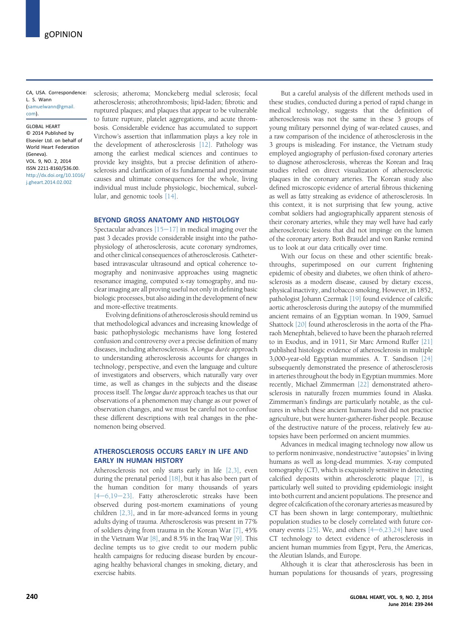CA, USA. Correspondence: L. S. Wann ([samuelwann@gmail.](mailto:samuelwann@gmail.com) [com\)](mailto:samuelwann@gmail.com).

GLOBAL HEART © 2014 Published by Elsevier Ltd. on behalf of World Heart Federation (Geneva). VOL. 9, NO. 2, 2014 ISSN 2211-8160/\$36.00. [http://dx.doi.org/10.1016/](http://dx.doi.org/10.1016/j.gheart.2014.02.002) [j.gheart.2014.02.002](http://dx.doi.org/10.1016/j.gheart.2014.02.002)

sclerosis; atheroma; Monckeberg medial sclerosis; focal atherosclerosis; atherothrombosis; lipid-laden; fibrotic and ruptured plaques; and plaques that appear to be vulnerable to future rupture, platelet aggregations, and acute thrombosis. Considerable evidence has accumulated to support Virchow's assertion that inflammation plays a key role in the development of atherosclerosis [\[12\]](#page-6-0). Pathology was among the earliest medical sciences and continues to provide key insights, but a precise definition of atherosclerosis and clarification of its fundamental and proximate causes and ultimate consequences for the whole, living individual must include physiologic, biochemical, subcellular, and genomic tools [\[14\].](#page-6-0)

#### BEYOND GROSS ANATOMY AND HISTOLOGY

Spectacular advances  $[15-17]$  $[15-17]$  $[15-17]$  in medical imaging over the past 3 decades provide considerable insight into the pathophysiology of atherosclerosis, acute coronary syndromes, and other clinical consequences of atherosclerosis. Catheterbased intravascular ultrasound and optical coherence tomography and noninvasive approaches using magnetic resonance imaging, computed x-ray tomography, and nuclear imaging are all proving useful not only in defining basic biologic processes, but also aiding in the development of new and more-effective treatments.

Evolving definitions of atherosclerosis should remind us that methodological advances and increasing knowledge of basic pathophysiologic mechanisms have long fostered confusion and controversy over a precise definition of many diseases, including atherosclerosis. A longue durée approach to understanding atherosclerosis accounts for changes in technology, perspective, and even the language and culture of investigators and observers, which naturally vary over time, as well as changes in the subjects and the disease process itself. The longue durée approach teaches us that our observations of a phenomenon may change as our power of observation changes, and we must be careful not to confuse these different descriptions with real changes in the phenomenon being observed.

#### ATHEROSCLEROSIS OCCURS FARLY IN LIFE AND EARLY IN HUMAN HISTORY

Atherosclerosis not only starts early in life [\[2,3\],](#page-6-0) even during the prenatal period [\[18\],](#page-6-0) but it has also been part of the human condition for many thousands of years  $[4-6,19-23]$  $[4-6,19-23]$  $[4-6,19-23]$  $[4-6,19-23]$  $[4-6,19-23]$ . Fatty atherosclerotic streaks have been observed during post-mortem examinations of young children [\[2,3\],](#page-6-0) and in far more-advanced forms in young adults dying of trauma. Atherosclerosis was present in 77% of soldiers dying from trauma in the Korean War [\[7\]](#page-6-0), 45% in the Vietnam War [\[8\]](#page-6-0), and 8.5% in the Iraq War [\[9\]](#page-6-0). This decline tempts us to give credit to our modern public health campaigns for reducing disease burden by encouraging healthy behavioral changes in smoking, dietary, and exercise habits.

But a careful analysis of the different methods used in these studies, conducted during a period of rapid change in medical technology, suggests that the definition of atherosclerosis was not the same in these 3 groups of young military personnel dying of war-related causes, and a raw comparison of the incidence of atherosclerosis in the 3 groups is misleading. For instance, the Vietnam study employed angiography of perfusion-fixed coronary arteries to diagnose atherosclerosis, whereas the Korean and Iraq studies relied on direct visualization of atherosclerotic plaques in the coronary arteries. The Korean study also defined microscopic evidence of arterial fibrous thickening as well as fatty streaking as evidence of atherosclerosis. In this context, it is not surprising that few young, active combat soldiers had angiographically apparent stenosis of their coronary arteries, while they may well have had early atherosclerotic lesions that did not impinge on the lumen of the coronary artery. Both Braudel and von Ranke remind us to look at our data critically over time.

With our focus on these and other scientific breakthroughs, superimposed on our current frightening epidemic of obesity and diabetes, we often think of atherosclerosis as a modern disease, caused by dietary excess, physical inactivity, and tobacco smoking. However, in 1852, pathologist Johann Czermak [\[19\]](#page-6-0) found evidence of calcific aortic atherosclerosis during the autopsy of the mummified ancient remains of an Egyptian woman. In 1909, Samuel Shattock [\[20\]](#page-6-0) found atherosclerosis in the aorta of the Pharaoh Menephtah, believed to have been the pharaoh referred to in Exodus, and in 1911, Sir Marc Armond Ruffer [\[21\]](#page-6-0) published histologic evidence of atherosclerosis in multiple 3,000-year-old Egyptian mummies. A. T. Sandison [\[24\]](#page-6-0) subsequently demonstrated the presence of atherosclerosis in arteries throughout the body in Egyptian mummies. More recently, Michael Zimmerman [\[22\]](#page-6-0) demonstrated atherosclerosis in naturally frozen mummies found in Alaska. Zimmerman's findings are particularly notable, as the cultures in which these ancient humans lived did not practice agriculture, but were hunter-gatherer-fisher people. Because of the destructive nature of the process, relatively few autopsies have been performed on ancient mummies.

Advances in medical imaging technology now allow us to perform noninvasive, nondestructive "autopsies" in living humans as well as long-dead mummies. X-ray computed tomography (CT), which is exquisitely sensitive in detecting calcified deposits within atherosclerotic plaque [\[7\],](#page-6-0) is particularly well suited to providing epidemiologic insight into both current and ancient populations. The presence and degree of calcification of the coronary arteries as measured by CT has been shown in large contemporary, multiethnic population studies to be closely correlated with future coronary events  $[25]$ . We, and others  $[4-6,23,24]$  $[4-6,23,24]$  $[4-6,23,24]$  have used CT technology to detect evidence of atherosclerosis in ancient human mummies from Egypt, Peru, the Americas, the Aleutian Islands, and Europe.

Although it is clear that atherosclerosis has been in human populations for thousands of years, progressing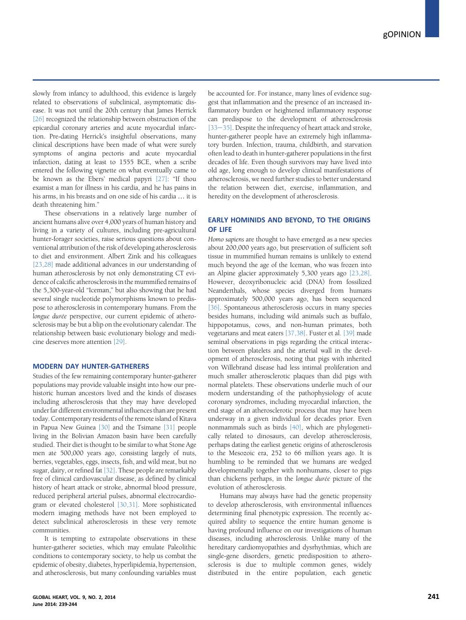slowly from infancy to adulthood, this evidence is largely related to observations of subclinical, asymptomatic disease. It was not until the 20th century that James Herrick [\[26\]](#page-6-0) recognized the relationship between obstruction of the epicardial coronary arteries and acute myocardial infarction. Pre-dating Herrick's insightful observations, many clinical descriptions have been made of what were surely symptoms of angina pectoris and acute myocardial infarction, dating at least to 1555 BCE, when a scribe entered the following vignette on what eventually came to be known as the Ebers' medical papyri [\[27\]](#page-6-0): "If thou examist a man for illness in his cardia, and he has pains in his arms, in his breasts and on one side of his cardia ... it is death threatening him."

These observations in a relatively large number of ancient humans alive over 4,000 years of human history and living in a variety of cultures, including pre-agricultural hunter-forager societies, raise serious questions about conventional attribution of the risk of developing atherosclerosis to diet and environment. Albert Zink and his colleagues [\[23,28\]](#page-6-0) made additional advances in our understanding of human atherosclerosis by not only demonstrating CT evidence of calcific atherosclerosis in the mummified remains of the 5,300-year-old "Iceman," but also showing that he had several single nucleotide polymorphisms known to predispose to atherosclerosis in contemporary humans. From the longue durée perspective, our current epidemic of atherosclerosis may be but a blip on the evolutionary calendar. The relationship between basic evolutionary biology and medicine deserves more attention [\[29\].](#page-6-0)

#### MODERN DAY HUNTER-GATHERERS

Studies of the few remaining contemporary hunter-gatherer populations may provide valuable insight into how our prehistoric human ancestors lived and the kinds of diseases including atherosclerosis that they may have developed under far different environmental influences than are present today. Contemporary residents of the remote island of Kitava in Papua New Guinea [\[30\]](#page-6-0) and the Tsimane [\[31\]](#page-6-0) people living in the Bolivian Amazon basin have been carefully studied. Their diet is thought to be similar to what Stone Age men ate 500,000 years ago, consisting largely of nuts, berries, vegetables, eggs, insects, fish, and wild meat, but no sugar, dairy, or refined fat [\[32\]](#page-6-0). These people are remarkably free of clinical cardiovascular disease, as defined by clinical history of heart attack or stroke, abnormal blood pressure, reduced peripheral arterial pulses, abnormal electrocardiogram or elevated cholesterol [\[30,31\]](#page-6-0). More sophisticated modern imaging methods have not been employed to detect subclinical atherosclerosis in these very remote communities.

It is tempting to extrapolate observations in these hunter-gatherer societies, which may emulate Paleolithic conditions to contemporary society, to help us combat the epidemic of obesity, diabetes, hyperlipidemia, hypertension, and atherosclerosis, but many confounding variables must be accounted for. For instance, many lines of evidence suggest that inflammation and the presence of an increased inflammatory burden or heightened inflammatory response can predispose to the development of atherosclerosis [\[33](#page-6-0)-[35\].](#page-6-0) Despite the infrequency of heart attack and stroke, hunter-gatherer people have an extremely high inflammatory burden. Infection, trauma, childbirth, and starvation often lead to death in hunter-gatherer populations in the first decades of life. Even though survivors may have lived into old age, long enough to develop clinical manifestations of atherosclerosis, we need further studies to better understand the relation between diet, exercise, inflammation, and heredity on the development of atherosclerosis.

### EARLY HOMINIDS AND BEYOND, TO THE ORIGINS OF LIFE

Homo sapiens are thought to have emerged as a new species about 200,000 years ago, but preservation of sufficient soft tissue in mummified human remains is unlikely to extend much beyond the age of the Iceman, who was frozen into an Alpine glacier approximately 5,300 years ago [\[23,28\].](#page-6-0) However, deoxyribonucleic acid (DNA) from fossilized Neanderthals, whose species diverged from humans approximately 500,000 years ago, has been sequenced [\[36\].](#page-6-0) Spontaneous atherosclerosis occurs in many species besides humans, including wild animals such as buffalo, hippopotamus, cows, and non-human primates, both vegetarians and meat eaters [\[37,38\].](#page-6-0) Fuster et al. [\[39\]](#page-6-0) made seminal observations in pigs regarding the critical interaction between platelets and the arterial wall in the development of atherosclerosis, noting that pigs with inherited von Willebrand disease had less intimal proliferation and much smaller atherosclerotic plaques than did pigs with normal platelets. These observations underlie much of our modern understanding of the pathophysiology of acute coronary syndromes, including myocardial infarction, the end stage of an atherosclerotic process that may have been underway in a given individual for decades prior. Even nonmammals such as birds [\[40\]](#page-6-0), which are phylogenetically related to dinosaurs, can develop atherosclerosis, perhaps dating the earliest genetic origins of atherosclerosis to the Mesozoic era, 252 to 66 million years ago. It is humbling to be reminded that we humans are wedged developmentally together with nonhumans, closer to pigs than chickens perhaps, in the longue durée picture of the evolution of atherosclerosis.

Humans may always have had the genetic propensity to develop atherosclerosis, with environmental influences determining final phenotypic expression. The recently acquired ability to sequence the entire human genome is having profound influence on our investigations of human diseases, including atherosclerosis. Unlike many of the hereditary cardiomyopathies and dysrhythmias, which are single-gene disorders, genetic predisposition to atherosclerosis is due to multiple common genes, widely distributed in the entire population, each genetic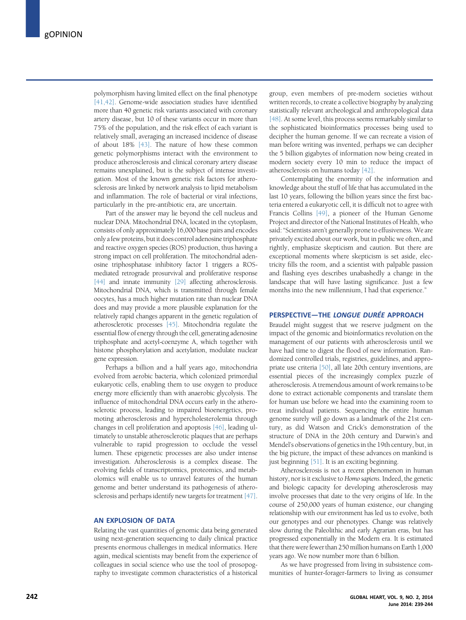polymorphism having limited effect on the final phenotype [\[41,42\]](#page-6-0). Genome-wide association studies have identified more than 40 genetic risk variants associated with coronary artery disease, but 10 of these variants occur in more than 75% of the population, and the risk effect of each variant is relatively small, averaging an increased incidence of disease of about 18% [\[43\].](#page-7-0) The nature of how these common genetic polymorphisms interact with the environment to produce atherosclerosis and clinical coronary artery disease remains unexplained, but is the subject of intense investigation. Most of the known genetic risk factors for atherosclerosis are linked by network analysis to lipid metabolism and inflammation. The role of bacterial or viral infections, particularly in the pre-antibiotic era, are uncertain.

Part of the answer may lie beyond the cell nucleus and nuclear DNA. Mitochondrial DNA, located in the cytoplasm, consists of only approximately 16,000 base pairs and encodes only a few proteins, but it does control adenosine triphosphate and reactive oxygen species (ROS) production, thus having a strong impact on cell proliferation. The mitochondrial adenosine triphosphatase inhibitory factor 1 triggers a ROSmediated retrograde prosurvival and proliferative response [\[44\]](#page-7-0) and innate immunity [\[29\]](#page-6-0) affecting atherosclerosis. Mitochondrial DNA, which is transmitted through female oocytes, has a much higher mutation rate than nuclear DNA does and may provide a more plausible explanation for the relatively rapid changes apparent in the genetic regulation of atherosclerotic processes [\[45\]](#page-7-0). Mitochondria regulate the essential flow of energy through the cell, generating adenosine triphosphate and acetyl-coenzyme A, which together with histone phosphorylation and acetylation, modulate nuclear gene expression.

Perhaps a billion and a half years ago, mitochondria evolved from aerobic bacteria, which colonized primordial eukaryotic cells, enabling them to use oxygen to produce energy more efficiently than with anaerobic glycolysis. The influence of mitochondrial DNA occurs early in the atherosclerotic process, leading to impaired bioenergetics, promoting atherosclerosis and hypercholesterolemia through changes in cell proliferation and apoptosis [\[46\],](#page-7-0) leading ultimately to unstable atherosclerotic plaques that are perhaps vulnerable to rapid progression to occlude the vessel lumen. These epigenetic processes are also under intense investigation. Atherosclerosis is a complex disease. The evolving fields of transcriptomics, proteomics, and metabolomics will enable us to unravel features of the human genome and better understand its pathogenesis of atherosclerosis and perhaps identify new targets for treatment [\[47\]](#page-7-0).

#### AN EXPLOSION OF DATA

Relating the vast quantities of genomic data being generated using next-generation sequencing to daily clinical practice presents enormous challenges in medical informatics. Here again, medical scientists may benefit from the experience of colleagues in social science who use the tool of prosopography to investigate common characteristics of a historical

group, even members of pre-modern societies without written records, to create a collective biography by analyzing statistically relevant archeological and anthropological data [\[48\]](#page-7-0). At some level, this process seems remarkably similar to the sophisticated bioinformatics processes being used to decipher the human genome. If we can recreate a vision of man before writing was invented, perhaps we can decipher the 5 billion gigabytes of information now being created in modern society every 10 min to reduce the impact of atherosclerosis on humans today [\[42\]](#page-6-0).

Contemplating the enormity of the information and knowledge about the stuff of life that has accumulated in the last 10 years, following the billion years since the first bacteria entered a eukaryotic cell, it is difficult not to agree with Francis Collins [\[49\],](#page-7-0) a pioneer of the Human Genome Project and director of the National Institutes of Health, who said:"Scientists aren't generally prone to effusiveness. We are privately excited about our work, but in public we often, and rightly, emphasize skepticism and caution. But there are exceptional moments where skepticism is set aside, electricity fills the room, and a scientist with palpable passion and flashing eyes describes unabashedly a change in the landscape that will have lasting significance. Just a few months into the new millennium, I had that experience."

#### PERSPECTIVE—THE LONGUE DURÉE APPROACH

Braudel might suggest that we reserve judgment on the impact of the genomic and bioinformatics revolution on the management of our patients with atherosclerosis until we have had time to digest the flood of new information. Randomized controlled trials, registries, guidelines, and appropriate use criteria [\[50\],](#page-7-0) all late 20th century inventions, are essential pieces of the increasingly complex puzzle of atherosclerosis. A tremendous amount of work remains to be done to extract actionable components and translate them for human use before we head into the examining room to treat individual patients. Sequencing the entire human genome surely will go down as a landmark of the 21st century, as did Watson and Crick's demonstration of the structure of DNA in the 20th century and Darwin's and Mendel's observations of genetics in the 19th century, but, in the big picture, the impact of these advances on mankind is just beginning [\[51\].](#page-7-0) It is an exciting beginning.

Atherosclerosis is not a recent phenomenon in human history, nor is it exclusive to Homo sapiens. Indeed, the genetic and biologic capacity for developing atherosclerosis may involve processes that date to the very origins of life. In the course of 250,000 years of human existence, our changing relationship with our environment has led us to evolve, both our genotypes and our phenotypes. Change was relatively slow during the Paleolithic and early Agrarian eras, but has progressed exponentially in the Modern era. It is estimated that there were fewer than 250 million humans on Earth 1,000 years ago. We now number more than 6 billion.

As we have progressed from living in subsistence communities of hunter-forager-farmers to living as consumer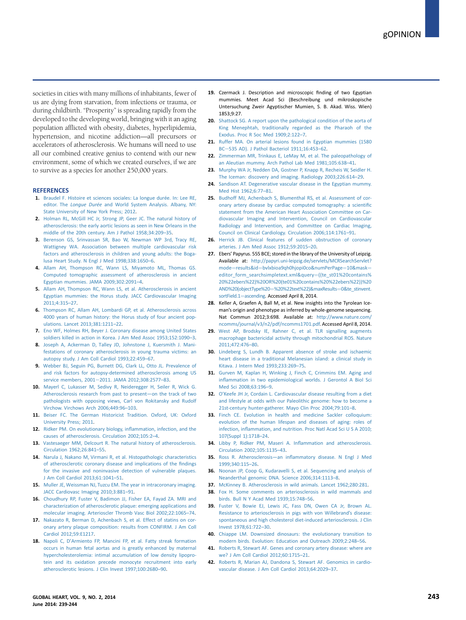<span id="page-6-0"></span>societies in cities with many millions of inhabitants, fewer of us are dying from starvation, from infections or trauma, or during childbirth. "Prosperity" is spreading rapidly from the developed to the developing world, bringing with it an aging population afflicted with obesity, diabetes, hyperlipidemia, hypertension, and nicotine addiction—all precursors or accelerators of atherosclerosis. We humans will need to use all our combined creative genius to contend with our new environment, some of which we created ourselves, if we are to survive as a species for another 250,000 years.

### **REFERENCES**

- 1. [Braudel F. Histoire et sciences sociales: La longue durée. In: Lee RE,](http://refhub.elsevier.com/S2211-8160(14)00022-2/sref1) editor. The Longue Durée [and World System Analysis. Albany, NY:](http://refhub.elsevier.com/S2211-8160(14)00022-2/sref1) [State University of New York Press; 2012](http://refhub.elsevier.com/S2211-8160(14)00022-2/sref1).
- 2. [Holman RL, McGill HC Jr, Strong JP, Geer JC. The natural history of](http://refhub.elsevier.com/S2211-8160(14)00022-2/sref2) [atherosclerosis: the early aortic lesions as seen in New Orleans in the](http://refhub.elsevier.com/S2211-8160(14)00022-2/sref2) [middle of the 20th century. Am J Pathol 1958;34:209](http://refhub.elsevier.com/S2211-8160(14)00022-2/sref2)–35.
- 3. [Berenson GS, Srinvassan SR, Bao W, Newman WP 3rd, Tracy RE,](http://refhub.elsevier.com/S2211-8160(14)00022-2/sref3) [Wattigney WA. Association between multiple cardiovascular risk](http://refhub.elsevier.com/S2211-8160(14)00022-2/sref3) [factors and atherosclerosis in children and young adults: the Boga](http://refhub.elsevier.com/S2211-8160(14)00022-2/sref3)[lusa Heart Study. N Engl J Med 1998;338:1650](http://refhub.elsevier.com/S2211-8160(14)00022-2/sref3)–6.
- 4. [Allam AH, Thompson RC, Wann LS, Miyamoto ML, Thomas GS.](http://refhub.elsevier.com/S2211-8160(14)00022-2/sref4) [Computed tomographic assessment of atherosclerosis in ancient](http://refhub.elsevier.com/S2211-8160(14)00022-2/sref4) [Egyptian mummies. JAMA 2009;302:2091](http://refhub.elsevier.com/S2211-8160(14)00022-2/sref4)–4.
- 5. [Allam AH, Thompson RC, Wann LS, et al. Atherosclerosis in ancient](http://refhub.elsevier.com/S2211-8160(14)00022-2/sref5) [Egyptian mummies: the Horus study. JACC Cardiovascular Imaging](http://refhub.elsevier.com/S2211-8160(14)00022-2/sref5) [2011;4:315](http://refhub.elsevier.com/S2211-8160(14)00022-2/sref5)–27.
- 6. [Thompson RC, Allam AH, Lombardi GP, et al. Atherosclerosis across](http://refhub.elsevier.com/S2211-8160(14)00022-2/sref6) [4000 years of human history: the Horus study of four ancient pop](http://refhub.elsevier.com/S2211-8160(14)00022-2/sref6)[ulations. Lancet 2013;381:1211](http://refhub.elsevier.com/S2211-8160(14)00022-2/sref6)–22.
- 7. [Eno WF, Holmes RH, Beyer J. Coronary disease among United States](http://refhub.elsevier.com/S2211-8160(14)00022-2/sref7) [soldiers killed in action in Korea. J Am Med Assoc 1953;152:1090](http://refhub.elsevier.com/S2211-8160(14)00022-2/sref7)–3.
- 8. [Joseph A, Ackerman D, Talley JD, Johnstone J, Kuersmith J. Mani](http://refhub.elsevier.com/S2211-8160(14)00022-2/sref8)[festations of coronary atherosclerosis in young trauma victims: an](http://refhub.elsevier.com/S2211-8160(14)00022-2/sref8) [autopsy study. J Am Coll Cardiol 1993;22:459](http://refhub.elsevier.com/S2211-8160(14)00022-2/sref8)–67.
- 9. [Webber BJ, Seguin PG, Burnett DG, Clark LL, Otto JL. Prevalence of](http://refhub.elsevier.com/S2211-8160(14)00022-2/sref9) [and risk factors for autopsy-determined atherosclerosis among US](http://refhub.elsevier.com/S2211-8160(14)00022-2/sref9) [service members, 2001](http://refhub.elsevier.com/S2211-8160(14)00022-2/sref9)-[2011. JAMA 2012;308:2577](http://refhub.elsevier.com/S2211-8160(14)00022-2/sref9)-83.
- 10. [Mayerl C, Lukasser M, Sedivy R, Neideregger H, Seiler R, Wick G.](http://refhub.elsevier.com/S2211-8160(14)00022-2/sref10) [Atherosclerosis research from past to present](http://refhub.elsevier.com/S2211-8160(14)00022-2/sref10)—on the track of two [pathologists with opposing views, Carl von Rokitansky and Rudolf](http://refhub.elsevier.com/S2211-8160(14)00022-2/sref10) [Virchow. Virchows Arch 2006;449:96](http://refhub.elsevier.com/S2211-8160(14)00022-2/sref10)–103.
- 11. [Beiser FC. The German Historicist Tradition. Oxford, UK: Oxford](http://refhub.elsevier.com/S2211-8160(14)00022-2/sref11) [University Press; 2011](http://refhub.elsevier.com/S2211-8160(14)00022-2/sref11).
- 12. [Ridker PM. On evolutionary biology, in](http://refhub.elsevier.com/S2211-8160(14)00022-2/sref12)flammation, infection, and the [causes of atherosclerosis. Circulation 2002;105:2](http://refhub.elsevier.com/S2211-8160(14)00022-2/sref12)–4.
- 13. [Vastesaeger MM, Delcourt R. The natural history of atherosclerosis.](http://refhub.elsevier.com/S2211-8160(14)00022-2/sref13) [Circulation 1962;26:841](http://refhub.elsevier.com/S2211-8160(14)00022-2/sref13)–55.
- 14. [Narula J, Nakano M, Virmani R, et al. Histopathologic characteristics](http://refhub.elsevier.com/S2211-8160(14)00022-2/sref14) [of atherosclerotic coronary disease and implications of the](http://refhub.elsevier.com/S2211-8160(14)00022-2/sref14) findings [for the invasive and noninvasive detection of vulnerable plaques.](http://refhub.elsevier.com/S2211-8160(14)00022-2/sref14) [J Am Coll Cardiol 2013;61:1041](http://refhub.elsevier.com/S2211-8160(14)00022-2/sref14)–51.
- 15. [Muller JE, Weissman NJ, Tuzcu EM. The year in intracoronary imaging.](http://refhub.elsevier.com/S2211-8160(14)00022-2/sref15) [JACC Cardiovasc Imaging 2010;3:881](http://refhub.elsevier.com/S2211-8160(14)00022-2/sref15)–91.
- 16. [Choudhury RP, Fuster V, Badimon JJ, Fisher EA, Fayad ZA. MRI and](http://refhub.elsevier.com/S2211-8160(14)00022-2/sref16) [characterization of atherosclerotic plaque: emerging applications and](http://refhub.elsevier.com/S2211-8160(14)00022-2/sref16) [molecular imaging. Arterioscler Thromb Vasc Biol 2002;22:1065](http://refhub.elsevier.com/S2211-8160(14)00022-2/sref16)–74.
- 17. [Nakazato R, Berman D, Achenbach S, et al. Effect of statins on cor](http://refhub.elsevier.com/S2211-8160(14)00022-2/sref17)[onary artery plaque composition: results from CONFIRM. J Am Coll](http://refhub.elsevier.com/S2211-8160(14)00022-2/sref17) [Cardiol 2012;59:E1217.](http://refhub.elsevier.com/S2211-8160(14)00022-2/sref17)
- 18. Napoli C, D'[Armiento FP, Mancini FP, et al. Fatty streak formation](http://refhub.elsevier.com/S2211-8160(14)00022-2/sref18) [occurs in human fetal aortas and is greatly enhanced by maternal](http://refhub.elsevier.com/S2211-8160(14)00022-2/sref18) [hypercholesterolemia: intimal accumulation of low density lipopro](http://refhub.elsevier.com/S2211-8160(14)00022-2/sref18)[tein and its oxidation precede monocyte recruitment into early](http://refhub.elsevier.com/S2211-8160(14)00022-2/sref18) [atherosclerotic lesions. J Clin Invest 1997;100:2680](http://refhub.elsevier.com/S2211-8160(14)00022-2/sref18)–90.
- 19. Czermack J. Description and microscopic finding of two Egyptian mummies. Meet Acad Sci (Beschreibung und mikroskopische Untersuchung Zweir Agyptischer Mumien, S. B. Akad. Wiss. Wien) 1853;9:27.
- 20. [Shattock SG. A report upon the pathological condition of the aorta of](http://refhub.elsevier.com/S2211-8160(14)00022-2/sref19) [King Menephtah, traditionally regarded as the Pharaoh of the](http://refhub.elsevier.com/S2211-8160(14)00022-2/sref19) [Exodus. Proc R Soc Med 1909;2:122](http://refhub.elsevier.com/S2211-8160(14)00022-2/sref19)–7.
- 21. [Ruffer MA. On arterial lesions found in Egyptian mummies \(1580](http://refhub.elsevier.com/S2211-8160(14)00022-2/sref20)) [BC](http://refhub.elsevier.com/S2211-8160(14)00022-2/sref20)e[535 AD\). J Pathol Bacteriol 1911;16:453](http://refhub.elsevier.com/S2211-8160(14)00022-2/sref20)–62.
- 22. [Zimmerman MR, Trinkaus E, LeMay M, et al. The paleopathology of](http://refhub.elsevier.com/S2211-8160(14)00022-2/sref21) [an Aleutian mummy. Arch Pathol Lab Med 1981;105:638](http://refhub.elsevier.com/S2211-8160(14)00022-2/sref21)–41.
- 23. [Murphy WA Jr, Nedden DA, Gostner P, Knapp R, Recheis W, Seidler H.](http://refhub.elsevier.com/S2211-8160(14)00022-2/sref22) [The Iceman: discovery and imaging. Radiology 2003;226:614](http://refhub.elsevier.com/S2211-8160(14)00022-2/sref22)–29.
- 24. [Sandison AT. Degenerative vascular disease in the Egyptian mummy.](http://refhub.elsevier.com/S2211-8160(14)00022-2/sref23) [Med Hist 1962;6:77](http://refhub.elsevier.com/S2211-8160(14)00022-2/sref23)–81.
- 25. [Budhoff MJ, Achenbach S, Blumenthal RS, et al. Assessment of cor](http://refhub.elsevier.com/S2211-8160(14)00022-2/sref25a)[onary artery disease by cardiac computed tomography: a scienti](http://refhub.elsevier.com/S2211-8160(14)00022-2/sref25a)fic [statement from the American Heart Association Committee on Car](http://refhub.elsevier.com/S2211-8160(14)00022-2/sref25a)[diovascular Imaging and Intervention, Council on Cardiovascular](http://refhub.elsevier.com/S2211-8160(14)00022-2/sref25a) [Radiology and Intervention, and Committee on Cardiac Imaging,](http://refhub.elsevier.com/S2211-8160(14)00022-2/sref25a) [Council on Clinical Cardiology. Circulation 2006;114:1761](http://refhub.elsevier.com/S2211-8160(14)00022-2/sref25a)–91.
- 26. [Herrick JB. Clinical features of sudden obstruction of coronary](http://refhub.elsevier.com/S2211-8160(14)00022-2/sref24) [arteries. J Am Med Assoc 1912;59:2015](http://refhub.elsevier.com/S2211-8160(14)00022-2/sref24)–20.
- 27. Ebers' Papyrus. 555 BCE; stored in the library of the University of Leipzig. Available at: [http://papyri.uni-leipzig.de/servlets/MCRSearchServlet?](http://papyri.uni-leipzig.de/servlets/MCRSearchServlet?mode=results%26id=bvlxbioa9qh0hjopi0co%26numPerPage=10%26mask=editor_form_searchsimpletext.xml%26query=((te_st01%2520contains%2520%2522ebers%2522)%2520OR%2520(te01%2520contains%2520%2522ebers%2522))%2520AND%2520(objectType%2520=%2520%2522text%2522)%26maxResults=0%26te_stinvent.sortField.1=ascending) [mode](http://papyri.uni-leipzig.de/servlets/MCRSearchServlet?mode=results%26id=bvlxbioa9qh0hjopi0co%26numPerPage=10%26mask=editor_form_searchsimpletext.xml%26query=((te_st01%2520contains%2520%2522ebers%2522)%2520OR%2520(te01%2520contains%2520%2522ebers%2522))%2520AND%2520(objectType%2520=%2520%2522text%2522)%26maxResults=0%26te_stinvent.sortField.1=ascending)=[results&id](http://papyri.uni-leipzig.de/servlets/MCRSearchServlet?mode=results%26id=bvlxbioa9qh0hjopi0co%26numPerPage=10%26mask=editor_form_searchsimpletext.xml%26query=((te_st01%2520contains%2520%2522ebers%2522)%2520OR%2520(te01%2520contains%2520%2522ebers%2522))%2520AND%2520(objectType%2520=%2520%2522text%2522)%26maxResults=0%26te_stinvent.sortField.1=ascending)=[bvlxbioa9qh0hjopi0co&numPerPage](http://papyri.uni-leipzig.de/servlets/MCRSearchServlet?mode=results%26id=bvlxbioa9qh0hjopi0co%26numPerPage=10%26mask=editor_form_searchsimpletext.xml%26query=((te_st01%2520contains%2520%2522ebers%2522)%2520OR%2520(te01%2520contains%2520%2522ebers%2522))%2520AND%2520(objectType%2520=%2520%2522text%2522)%26maxResults=0%26te_stinvent.sortField.1=ascending)=[10&mask](http://papyri.uni-leipzig.de/servlets/MCRSearchServlet?mode=results%26id=bvlxbioa9qh0hjopi0co%26numPerPage=10%26mask=editor_form_searchsimpletext.xml%26query=((te_st01%2520contains%2520%2522ebers%2522)%2520OR%2520(te01%2520contains%2520%2522ebers%2522))%2520AND%2520(objectType%2520=%2520%2522text%2522)%26maxResults=0%26te_stinvent.sortField.1=ascending)= editor form\_searchsimpletext.xml&query=[\(\(te\\_st01%20contains%](http://papyri.uni-leipzig.de/servlets/MCRSearchServlet?mode=results%26id=bvlxbioa9qh0hjopi0co%26numPerPage=10%26mask=editor_form_searchsimpletext.xml%26query=((te_st01%2520contains%2520%2522ebers%2522)%2520OR%2520(te01%2520contains%2520%2522ebers%2522))%2520AND%2520(objectType%2520=%2520%2522text%2522)%26maxResults=0%26te_stinvent.sortField.1=ascending) [20%22ebers%22\)%20OR%20\(te01%20contains%20%22ebers%22\)\)%20](http://papyri.uni-leipzig.de/servlets/MCRSearchServlet?mode=results%26id=bvlxbioa9qh0hjopi0co%26numPerPage=10%26mask=editor_form_searchsimpletext.xml%26query=((te_st01%2520contains%2520%2522ebers%2522)%2520OR%2520(te01%2520contains%2520%2522ebers%2522))%2520AND%2520(objectType%2520=%2520%2522text%2522)%26maxResults=0%26te_stinvent.sortField.1=ascending) [AND%20\(objectType%20](http://papyri.uni-leipzig.de/servlets/MCRSearchServlet?mode=results%26id=bvlxbioa9qh0hjopi0co%26numPerPage=10%26mask=editor_form_searchsimpletext.xml%26query=((te_st01%2520contains%2520%2522ebers%2522)%2520OR%2520(te01%2520contains%2520%2522ebers%2522))%2520AND%2520(objectType%2520=%2520%2522text%2522)%26maxResults=0%26te_stinvent.sortField.1=ascending)=[%20%22text%22\)&maxResults](http://papyri.uni-leipzig.de/servlets/MCRSearchServlet?mode=results%26id=bvlxbioa9qh0hjopi0co%26numPerPage=10%26mask=editor_form_searchsimpletext.xml%26query=((te_st01%2520contains%2520%2522ebers%2522)%2520OR%2520(te01%2520contains%2520%2522ebers%2522))%2520AND%2520(objectType%2520=%2520%2522text%2522)%26maxResults=0%26te_stinvent.sortField.1=ascending)=[0&te\\_stinvent.](http://papyri.uni-leipzig.de/servlets/MCRSearchServlet?mode=results%26id=bvlxbioa9qh0hjopi0co%26numPerPage=10%26mask=editor_form_searchsimpletext.xml%26query=((te_st01%2520contains%2520%2522ebers%2522)%2520OR%2520(te01%2520contains%2520%2522ebers%2522))%2520AND%2520(objectType%2520=%2520%2522text%2522)%26maxResults=0%26te_stinvent.sortField.1=ascending) [sortField.1](http://papyri.uni-leipzig.de/servlets/MCRSearchServlet?mode=results%26id=bvlxbioa9qh0hjopi0co%26numPerPage=10%26mask=editor_form_searchsimpletext.xml%26query=((te_st01%2520contains%2520%2522ebers%2522)%2520OR%2520(te01%2520contains%2520%2522ebers%2522))%2520AND%2520(objectType%2520=%2520%2522text%2522)%26maxResults=0%26te_stinvent.sortField.1=ascending)=[ascending.](http://papyri.uni-leipzig.de/servlets/MCRSearchServlet?mode=results%26id=bvlxbioa9qh0hjopi0co%26numPerPage=10%26mask=editor_form_searchsimpletext.xml%26query=((te_st01%2520contains%2520%2522ebers%2522)%2520OR%2520(te01%2520contains%2520%2522ebers%2522))%2520AND%2520(objectType%2520=%2520%2522text%2522)%26maxResults=0%26te_stinvent.sortField.1=ascending) Accessed April 8, 2014.
- 28. Keller A, Graefen A, Ball M, et al. New insights into the Tyrolean Iceman's origin and phenotype as inferred by whole-genome sequencing. Nat Commun 2012;3:698. Available at: [http://www.nature.com/](http://www.nature.com/ncomms/journal/v3/n2/pdf/ncomms1701.pdf) [ncomms/journal/v3/n2/pdf/ncomms1701.pdf.](http://www.nature.com/ncomms/journal/v3/n2/pdf/ncomms1701.pdf) Accessed April 8, 2014.
- 29. [West AP, Brodsky IE, Rahner C, et al. TLR signalling augments](http://refhub.elsevier.com/S2211-8160(14)00022-2/sref26) [macrophage bactericidal activity through mitochondrial ROS. Nature](http://refhub.elsevier.com/S2211-8160(14)00022-2/sref26) [2011;472:476](http://refhub.elsevier.com/S2211-8160(14)00022-2/sref26)–80.
- 30. [Lindeberg S, Lundh B. Apparent absence of stroke and ischaemic](http://refhub.elsevier.com/S2211-8160(14)00022-2/sref27) [heart disease in a traditional Melanesian island: a clinical study in](http://refhub.elsevier.com/S2211-8160(14)00022-2/sref27) [Kitava. J Intern Med 1993;233:269](http://refhub.elsevier.com/S2211-8160(14)00022-2/sref27)–75.
- 31. [Gurven M, Kaplan H, Winking J, Finch C, Crimmins EM. Aging and](http://refhub.elsevier.com/S2211-8160(14)00022-2/sref28) infl[ammation in two epidemiological worlds. J Gerontol A Biol Sci](http://refhub.elsevier.com/S2211-8160(14)00022-2/sref28) [Med Sci 2008;63:196](http://refhub.elsevier.com/S2211-8160(14)00022-2/sref28)–9.
- 32. O'[Keefe JH Jr, Cordain L. Cardiovascular disease resulting from a diet](http://refhub.elsevier.com/S2211-8160(14)00022-2/sref29) [and lifestyle at odds with our Paleolithic genome: how to become a](http://refhub.elsevier.com/S2211-8160(14)00022-2/sref29) [21st-century hunter-gatherer. Mayo Clin Proc 2004;79:101](http://refhub.elsevier.com/S2211-8160(14)00022-2/sref29)–8.
- 33. [Finch CE. Evolution in health and medicine Sackler colloquium:](http://refhub.elsevier.com/S2211-8160(14)00022-2/sref30) [evolution of the human lifespan and diseases of aging: roles of](http://refhub.elsevier.com/S2211-8160(14)00022-2/sref30) infection, infl[ammation, and nutrition. Proc Natl Acad Sci U S A 2010;](http://refhub.elsevier.com/S2211-8160(14)00022-2/sref30) [107\(Suppl 1\):1718](http://refhub.elsevier.com/S2211-8160(14)00022-2/sref30)–24.
- 34. Libby P. Ridker PM. Maseri A. Inflammation and atherosclerosis. [Circulation 2002;105:1135](http://refhub.elsevier.com/S2211-8160(14)00022-2/sref31)–43.
- 35. Ross R. Atherosclerosis—an infl[ammatory disease. N Engl J Med](http://refhub.elsevier.com/S2211-8160(14)00022-2/sref32) [1999;340:115](http://refhub.elsevier.com/S2211-8160(14)00022-2/sref32)–26.
- 36. [Noonan JP, Coop G, Kudaravelli S, et al. Sequencing and analysis of](http://refhub.elsevier.com/S2211-8160(14)00022-2/sref33) [Neanderthal genomic DNA. Science 2006;314:1113](http://refhub.elsevier.com/S2211-8160(14)00022-2/sref33)–8.
- 37. [McKinney B. Atherosclerosis in wild animals. Lancet 1962;280:281.](http://refhub.elsevier.com/S2211-8160(14)00022-2/sref34)
- 38. [Fox H. Some comments on arteriosclerosis in wild mammals and](http://refhub.elsevier.com/S2211-8160(14)00022-2/sref35) [birds. Bull N Y Acad Med 1939;15:748](http://refhub.elsevier.com/S2211-8160(14)00022-2/sref35)–56.
- 39. [Fuster V, Bowie EJ, Lewis JC, Fass DN, Owen CA Jr, Brown AL.](http://refhub.elsevier.com/S2211-8160(14)00022-2/sref36) [Resistance to arteriosclerosis in pigs with von Willebrand](http://refhub.elsevier.com/S2211-8160(14)00022-2/sref36)'s disease: [spontaneous and high cholesterol diet-induced arteriosclerosis. J Clin](http://refhub.elsevier.com/S2211-8160(14)00022-2/sref36) [Invest 1978;61:722](http://refhub.elsevier.com/S2211-8160(14)00022-2/sref36)–30.
- 40. [Chiappe LM. Downsized dinosaurs: the evolutionary transition to](http://refhub.elsevier.com/S2211-8160(14)00022-2/sref37) [modern birds. Evolution: Education and Outreach 2009;2:248](http://refhub.elsevier.com/S2211-8160(14)00022-2/sref37)–56.
- 41. [Roberts R, Stewart AF. Genes and coronary artery disease: where are](http://refhub.elsevier.com/S2211-8160(14)00022-2/sref38) [we? J Am Coll Cardiol 2012;60:1715](http://refhub.elsevier.com/S2211-8160(14)00022-2/sref38)–21.
- 42. [Roberts R, Marian AJ, Dandona S, Stewart AF. Genomics in cardio](http://refhub.elsevier.com/S2211-8160(14)00022-2/sref39)[vascular disease. J Am Coll Cardiol 2013;64:2029](http://refhub.elsevier.com/S2211-8160(14)00022-2/sref39)–37.